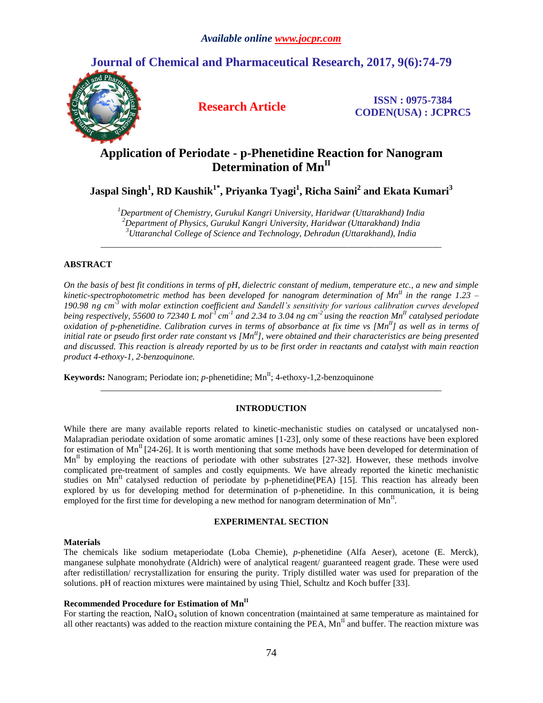## **Journal of Chemical and Pharmaceutical Research, 2017, 9(6):74-79**



**Research Article ISSN** : 0975-7384 **CODEN(USA) : JCPRC5**

# **Application of Periodate - p-Phenetidine Reaction for Nanogram Determination of MnII**

**Jaspal Singh<sup>1</sup> , RD Kaushik1\* , Priyanka Tyagi<sup>1</sup> , Richa Saini<sup>2</sup> and Ekata Kumari<sup>3</sup>**

*<sup>1</sup>Department of Chemistry, Gurukul Kangri University, Haridwar (Uttarakhand) India <sup>2</sup>Department of Physics, Gurukul Kangri University, Haridwar (Uttarakhand) India <sup>3</sup>Uttaranchal College of Science and Technology, Dehradun (Uttarakhand), India*

*\_\_\_\_\_\_\_\_\_\_\_\_\_\_\_\_\_\_\_\_\_\_\_\_\_\_\_\_\_\_\_\_\_\_\_\_\_\_\_\_\_\_\_\_\_\_\_\_\_\_\_\_\_\_\_\_\_\_\_\_\_\_\_\_\_\_\_\_\_\_\_\_\_\_\_\_\_*

### **ABSTRACT**

*On the basis of best fit conditions in terms of pH, dielectric constant of medium, temperature etc., a new and simple kinetic-spectrophotometric method has been developed for nanogram determination of MnII in the range 1.23 – 190.98 ng cm -3 with molar extinction coefficient and Sandell's sensitivity for various calibration curves developed being respectively, 55600 to 72340 L mol-1 cm -1 and 2.34 to 3.04 ng cm-2 using the reaction MnII catalysed periodate oxidation of p-phenetidine. Calibration curves in terms of absorbance at fix time vs [MnII] as well as in terms of initial rate or pseudo first order rate constant vs [MnII], were obtained and their characteristics are being presented and discussed. This reaction is already reported by us to be first order in reactants and catalyst with main reaction product 4-ethoxy-1, 2-benzoquinone.*

**Keywords:** Nanogram; Periodate ion; *p*-phenetidine; Mn<sup>II</sup>; 4-ethoxy-1,2-benzoquinone

### **INTRODUCTION**

*\_\_\_\_\_\_\_\_\_\_\_\_\_\_\_\_\_\_\_\_\_\_\_\_\_\_\_\_\_\_\_\_\_\_\_\_\_\_\_\_\_\_\_\_\_\_\_\_\_\_\_\_\_\_\_\_\_\_\_\_\_\_\_\_\_\_\_\_\_\_\_\_\_\_\_\_\_*

While there are many available reports related to kinetic-mechanistic studies on catalysed or uncatalysed non-Malapradian periodate oxidation of some aromatic amines [1-23], only some of these reactions have been explored for estimation of  $Mn^{\text{II}}$  [24-26]. It is worth mentioning that some methods have been developed for determination of  $Mn<sup>H</sup>$  by employing the reactions of periodate with other substrates [27-32]. However, these methods involve complicated pre-treatment of samples and costly equipments. We have already reported the kinetic mechanistic studies on Mn<sup>II</sup> catalysed reduction of periodate by p-phenetidine(PEA) [15]. This reaction has already been explored by us for developing method for determination of p-phenetidine. In this communication, it is being employed for the first time for developing a new method for nanogram determination of  $Mn<sup>H</sup>$ .

### **EXPERIMENTAL SECTION**

### **Materials**

The chemicals like sodium metaperiodate (Loba Chemie), *p-*phenetidine (Alfa Aeser), acetone (E. Merck), manganese sulphate monohydrate (Aldrich) were of analytical reagent/ guaranteed reagent grade. These were used after redistillation/ recrystallization for ensuring the purity. Triply distilled water was used for preparation of the solutions. pH of reaction mixtures were maintained by using Thiel, Schultz and Koch buffer [33].

### **Recommended Procedure for Estimation of MnII**

For starting the reaction, NaIO<sub>4</sub> solution of known concentration (maintained at same temperature as maintained for all other reactants) was added to the reaction mixture containing the PEA,  $Mn<sup>H</sup>$  and buffer. The reaction mixture was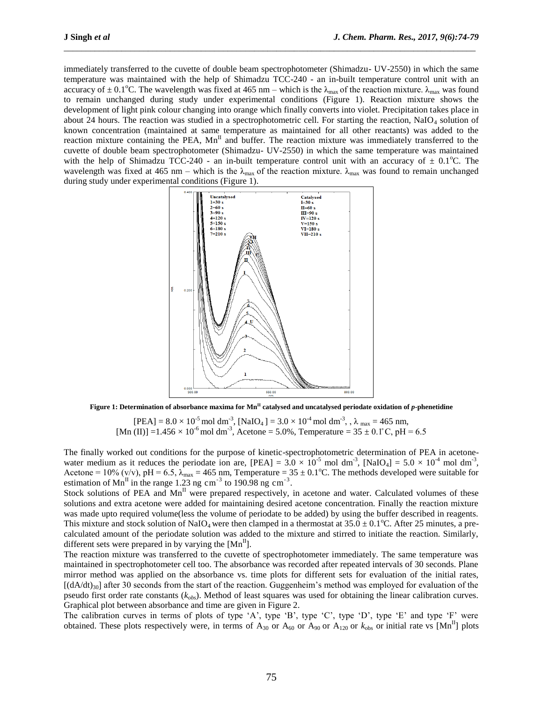immediately transferred to the cuvette of double beam spectrophotometer (Shimadzu- UV-2550) in which the same temperature was maintained with the help of Shimadzu TCC-240 - an in-built temperature control unit with an accuracy of  $\pm$  0.1<sup>o</sup>C. The wavelength was fixed at 465 nm – which is the  $\lambda_{\text{max}}$  of the reaction mixture.  $\lambda_{\text{max}}$  was found to remain unchanged during study under experimental conditions (Figure 1). Reaction mixture shows the development of light pink colour changing into orange which finally converts into violet. Precipitation takes place in about 24 hours. The reaction was studied in a spectrophotometric cell. For starting the reaction, NaIO<sub>4</sub> solution of known concentration (maintained at same temperature as maintained for all other reactants) was added to the reaction mixture containing the PEA,  $Mn^{\text{II}}$  and buffer. The reaction mixture was immediately transferred to the cuvette of double beam spectrophotometer (Shimadzu- UV-2550) in which the same temperature was maintained with the help of Shimadzu TCC-240 - an in-built temperature control unit with an accuracy of  $\pm$  0.1<sup>o</sup>C. The wavelength was fixed at 465 nm – which is the  $\lambda_{\text{max}}$  of the reaction mixture.  $\lambda_{\text{max}}$  was found to remain unchanged during study under experimental conditions (Figure 1).

\_\_\_\_\_\_\_\_\_\_\_\_\_\_\_\_\_\_\_\_\_\_\_\_\_\_\_\_\_\_\_\_\_\_\_\_\_\_\_\_\_\_\_\_\_\_\_\_\_\_\_\_\_\_\_\_\_\_\_\_\_\_\_\_\_\_\_\_\_\_\_\_\_\_\_\_\_\_\_\_\_\_\_\_\_\_\_\_\_\_\_\_\_



**Figure 1: Determination of absorbance maxima for MnII catalysed and uncatalysed periodate oxidation of** *p***-phenetidine**

 $[PEA] = 8.0 \times 10^{-5}$  mol dm<sup>-3</sup>,  $[NaIO_4] = 3.0 \times 10^{-4}$  mol dm<sup>-3</sup>, ,  $\lambda_{max} = 465$  nm, [Mn (II)] =1.456  $\times$  10<sup>-6</sup> mol dm<sup>-3</sup>, Acetone = 5.0%, Temperature = 35  $\pm$  0.1°C, pH = 6.5

The finally worked out conditions for the purpose of kinetic-spectrophotometric determination of PEA in acetonewater medium as it reduces the periodate ion are,  $[PEA] = 3.0 \times 10^{-5}$  mol dm<sup>-3</sup>,  $[NaIO_4] = 5.0 \times 10^{-4}$  mol dm<sup>-3</sup>, Acetone = 10% (v/v), pH = 6.5,  $\lambda_{max}$  = 465 nm, Temperature = 35 ± 0.1<sup>o</sup>C. The methods developed were suitable for estimation of  $Mn^{\text{II}}$  in the range 1.23 ng cm<sup>-3</sup> to 190.98 ng cm<sup>-3</sup>.

Stock solutions of PEA and  $Mn^{\text{II}}$  were prepared respectively, in acetone and water. Calculated volumes of these solutions and extra acetone were added for maintaining desired acetone concentration. Finally the reaction mixture was made upto required volume(less the volume of periodate to be added) by using the buffer described in reagents. This mixture and stock solution of NaIO<sub>4</sub> were then clamped in a thermostat at  $35.0 \pm 0.1^{\circ}$ C. After 25 minutes, a precalculated amount of the periodate solution was added to the mixture and stirred to initiate the reaction. Similarly, different sets were prepared in by varying the  $[Mn<sup>H</sup>]$ .

The reaction mixture was transferred to the cuvette of spectrophotometer immediately. The same temperature was maintained in spectrophotometer cell too. The absorbance was recorded after repeated intervals of 30 seconds. Plane mirror method was applied on the absorbance vs. time plots for different sets for evaluation of the initial rates,  $[(dA/dt)_{30}]$  after 30 seconds from the start of the reaction. Guggenheim's method was employed for evaluation of the pseudo first order rate constants (*kobs*). Method of least squares was used for obtaining the linear calibration curves. Graphical plot between absorbance and time are given in Figure 2.

The calibration curves in terms of plots of type 'A', type 'B', type 'C', type 'D', type 'E' and type 'F' were obtained. These plots respectively were, in terms of  $A_{30}$  or  $A_{60}$  or  $A_{90}$  or  $A_{120}$  or  $k_{obs}$  or initial rate vs  $[Mn^II]$  plots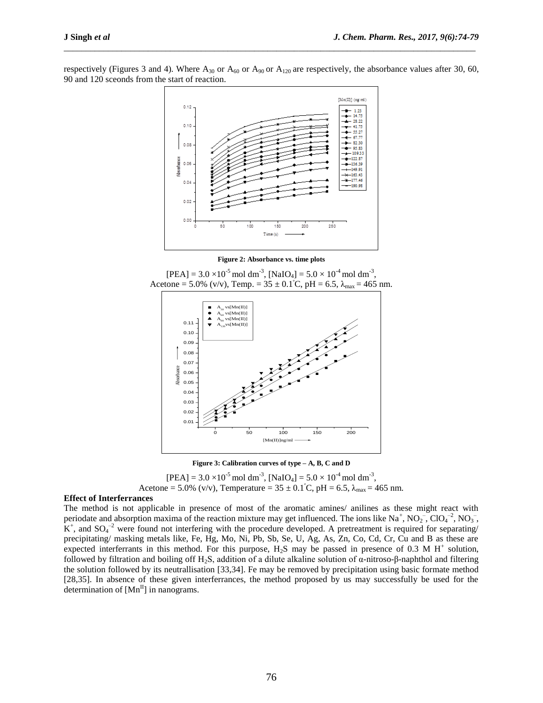respectively (Figures 3 and 4). Where  $A_{30}$  or  $A_{60}$  or  $A_{90}$  or  $A_{120}$  are respectively, the absorbance values after 30, 60, 90 and 120 sceonds from the start of reaction.

\_\_\_\_\_\_\_\_\_\_\_\_\_\_\_\_\_\_\_\_\_\_\_\_\_\_\_\_\_\_\_\_\_\_\_\_\_\_\_\_\_\_\_\_\_\_\_\_\_\_\_\_\_\_\_\_\_\_\_\_\_\_\_\_\_\_\_\_\_\_\_\_\_\_\_\_\_\_\_\_\_\_\_\_\_\_\_\_\_\_\_\_\_



**Figure 2: Absorbance vs. time plots**



**Figure 3: Calibration curves of type – A, B, C and D**

 $[PEA] = 3.0 \times 10^{-5}$  mol dm<sup>-3</sup>,  $[NaIO<sub>4</sub>] = 5.0 \times 10^{-4}$  mol dm<sup>-3</sup>, Acetone = 5.0% (v/v), Temperature =  $35 \pm 0.1^{\circ}$ C, pH =  $6.5$ ,  $\lambda_{\text{max}}$  = 465 nm.

### **Effect of Interferrances**

The method is not applicable in presence of most of the aromatic amines/ anilines as these might react with periodate and absorption maxima of the reaction mixture may get influenced. The ions like  $Na^+$ ,  $NO_2^-$ ,  $CO_4^{-2}$ ,  $NO_3^-$ ,  $K^+$ , and  $SO_4^{-2}$  were found not interfering with the procedure developed. A pretreatment is required for separating/ precipitating/ masking metals like, Fe, Hg, Mo, Ni, Pb, Sb, Se, U, Ag, As, Zn, Co, Cd, Cr, Cu and B as these are expected interferrants in this method. For this purpose,  $H_2S$  may be passed in presence of 0.3 M H<sup>+</sup> solution, followed by filtration and boiling off H<sub>2</sub>S, addition of a dilute alkaline solution of α-nitroso-β-naphthol and filtering the solution followed by its neutrallisation [33,34]. Fe may be removed by precipitation using basic formate method [28,35]. In absence of these given interferrances, the method proposed by us may successfully be used for the determination of  $[Mn^II]$  in nanograms.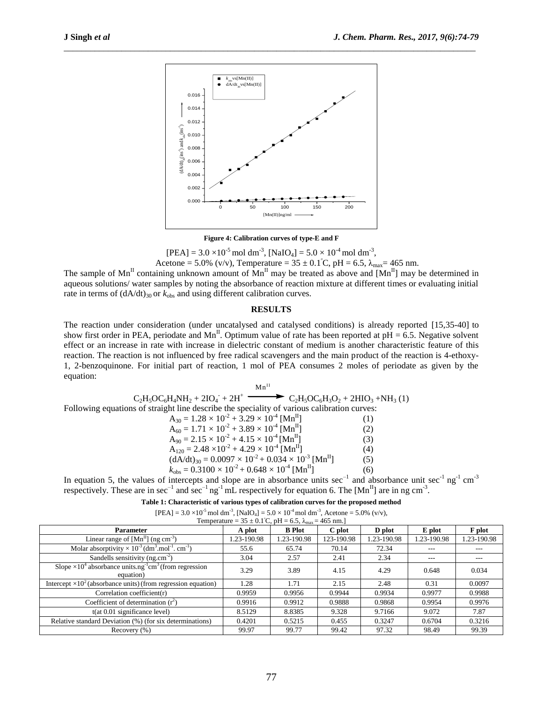

\_\_\_\_\_\_\_\_\_\_\_\_\_\_\_\_\_\_\_\_\_\_\_\_\_\_\_\_\_\_\_\_\_\_\_\_\_\_\_\_\_\_\_\_\_\_\_\_\_\_\_\_\_\_\_\_\_\_\_\_\_\_\_\_\_\_\_\_\_\_\_\_\_\_\_\_\_\_\_\_\_\_\_\_\_\_\_\_\_\_\_\_\_

### **Figure 4: Calibration curves of type-E and F**

 $[PEA] = 3.0 \times 10^{-5}$  mol dm<sup>-3</sup>,  $[NaIO<sub>4</sub>] = 5.0 \times 10^{-4}$  mol dm<sup>-3</sup>,

Acetone = 5.0% (v/v), Temperature =  $35 \pm 0.1^{\circ}$ C, pH = 6.5,  $\lambda_{\text{max}}$  = 465 nm.

The sample of  $Mn^{\text{II}}$  containing unknown amount of  $Mn^{\text{II}}$  may be treated as above and  $[Mn^{\text{II}}]$  may be determined in aqueous solutions/ water samples by noting the absorbance of reaction mixture at different times or evaluating initial rate in terms of  $(dA/dt)_{30}$  or  $k_{obs}$  and using different calibration curves.

### **RESULTS**

The reaction under consideration (under uncatalysed and catalysed conditions) is already reported [15,35-40] to show first order in PEA, periodate and Mn<sup>II</sup>. Optimum value of rate has been reported at pH = 6.5. Negative solvent effect or an increase in rate with increase in dielectric constant of medium is another characteristic feature of this reaction. The reaction is not influenced by free radical scavengers and the main product of the reaction is 4-ethoxy-1, 2-benzoquinone. For initial part of reaction, 1 mol of PEA consumes 2 moles of periodate as given by the equation:

 $Mn$ <sup>II</sup>  $C_2H_5OC_6H_4NH_2 + 2IO_4$  $\blacktriangleright$  C<sub>2</sub>H<sub>5</sub>OC<sub>6</sub>H<sub>3</sub>O<sub>2</sub> + 2HIO<sub>3</sub> +NH<sub>3</sub> (1) Following equations of straight line describe the speciality of various calibration curves:  $A_{30} = 1.28 \times 10^{-2} + 3.29 \times 10^{-4}$  [Mn<sup>II</sup>] (1)  $A_{60} = 1.71 \times 10^{-2} + 3.89 \times 10^{-4}$  [Mn<sup>II</sup>] (2)  $A_{90} = 2.15 \times 10^{-2} + 4.15 \times 10^{-4} [Mn^{II}]$  (3)  $A_{120} = 2.48 \times 10^{-2} + 4.29 \times 10^{-4}$  [Mn<sup>II</sup>] (4)  $(dA/dt)_{30} = 0.0097 \times 10^{-2} + 0.034 \times 10^{-3}$  [Mn<sup>II</sup>] (5)  $k_{\text{obs}} = 0.3100 \times 10^{-2} + 0.648 \times 10^{-4} \text{ [Mn}^{\text{II}}]$  (6)

In equation 5, the values of intercepts and slope are in absorbance units  $\sec^{-1}$  and absorbance unit  $\sec^{-1}$  ng<sup>-1</sup> cm<sup>-3</sup> respectively. These are in sec<sup>-1</sup> and sec<sup>-1</sup> ng<sup>-1</sup> mL respectively for equation 6. The [Mn<sup>II</sup>] are in ng cm<sup>-3</sup>.

|  | [PEA] = $3.0 \times 10^{-5}$ mol dm <sup>-3</sup> , [NaIO <sub>4</sub> ] = $5.0 \times 10^{-4}$ mol dm <sup>-3</sup> , Acetone = $5.0\%$ (v/v), |  |  |  |
|--|-------------------------------------------------------------------------------------------------------------------------------------------------|--|--|--|
|--|-------------------------------------------------------------------------------------------------------------------------------------------------|--|--|--|

| Temperature = $35 \pm 0.1^{\circ}$ C, pH = 6.5, $\lambda_{\text{max}}$ = 465 nm.]                   |             |               |            |             |             |             |  |  |  |
|-----------------------------------------------------------------------------------------------------|-------------|---------------|------------|-------------|-------------|-------------|--|--|--|
| <b>Parameter</b>                                                                                    | A plot      | <b>B</b> Plot | C plot     | D plot      | E plot      | F plot      |  |  |  |
| Linear range of $[Mn^{II}]$ (ng cm <sup>-3</sup> )                                                  | 1.23-190.98 | 1.23-190.98   | 123-190.98 | 1.23-190.98 | 1.23-190.98 | 1.23-190.98 |  |  |  |
| Molar absorptivity $\times 10^{-3}$ (dm <sup>3</sup> .mol <sup>-1</sup> . cm <sup>-1</sup> )        | 55.6        | 65.74         | 70.14      | 72.34       | $- - -$     | $- - -$     |  |  |  |
| Sandells sensitivity ( $ng.cm^{-2}$ )                                                               | 3.04        | 2.57          | 2.41       | 2.34        | $- - -$     | $- - -$     |  |  |  |
| Slope $\times 10^4$ absorbance units.ng <sup>-1</sup> cm <sup>3</sup> (from regression<br>equation) | 3.29        | 3.89          | 4.15       | 4.29        | 0.648       | 0.034       |  |  |  |
| Intercept $\times 10^2$ (absorbance units) (from regression equation)                               | 1.28        | 1.71          | 2.15       | 2.48        | 0.31        | 0.0097      |  |  |  |
| Correlation coefficient $(r)$                                                                       | 0.9959      | 0.9956        | 0.9944     | 0.9934      | 0.9977      | 0.9988      |  |  |  |
| Coefficient of determination $(r^2)$                                                                | 0.9916      | 0.9912        | 0.9888     | 0.9868      | 0.9954      | 0.9976      |  |  |  |
| $t(at 0.01$ significance level)                                                                     | 8.5129      | 8.8385        | 9.328      | 9.7166      | 9.072       | 7.87        |  |  |  |
| Relative standard Deviation (%) (for six determinations)                                            | 0.4201      | 0.5215        | 0.455      | 0.3247      | 0.6704      | 0.3216      |  |  |  |
| Recovery $(\% )$                                                                                    | 99.97       | 99.77         | 99.42      | 97.32       | 98.49       | 99.39       |  |  |  |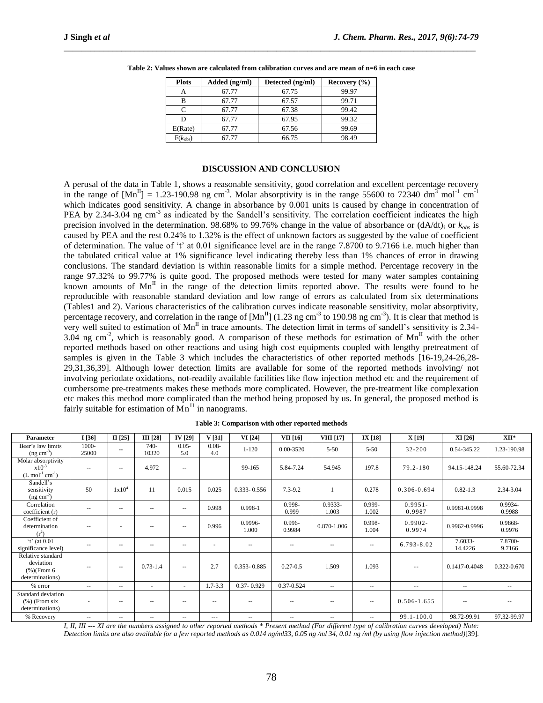| <b>Plots</b> | Added (ng/ml) | Detected (ng/ml) | Recovery $(\% )$ |
|--------------|---------------|------------------|------------------|
| А            | 67.77         | 67.75            | 99.97            |
| в            | 67.77         | 67.57            | 99.71            |
| C            | 67.77         | 67.38            | 99.42            |
| D            | 67.77         | 67.95            | 99.32            |
| E(Rate)      | 67.77         | 67.56            | 99.69            |
| $F(k_{obs})$ | 67.77         | 66.75            | 98.49            |

**Table 2: Values shown are calculated from calibration curves and are mean of n=6 in each case**

\_\_\_\_\_\_\_\_\_\_\_\_\_\_\_\_\_\_\_\_\_\_\_\_\_\_\_\_\_\_\_\_\_\_\_\_\_\_\_\_\_\_\_\_\_\_\_\_\_\_\_\_\_\_\_\_\_\_\_\_\_\_\_\_\_\_\_\_\_\_\_\_\_\_\_\_\_\_\_\_\_\_\_\_\_\_\_\_\_\_\_\_\_

### **DISCUSSION AND CONCLUSION**

A perusal of the data in Table 1, shows a reasonable sensitivity, good correlation and excellent percentage recovery in the range of  $[Mn^II] = 1.23$ -190.98 ng cm<sup>-3</sup>. Molar absorptivity is in the range 55600 to 72340 dm<sup>3</sup> mol<sup>-1</sup> cm<sup>-1</sup> which indicates good sensitivity. A change in absorbance by 0.001 units is caused by change in concentration of PEA by 2.34-3.04 ng cm<sup>-3</sup> as indicated by the Sandell's sensitivity. The correlation coefficient indicates the high precision involved in the determination. 98.68% to 99.76% change in the value of absorbance or  $(dA/dt)$  or  $k_{obs}$  is caused by PEA and the rest 0.24% to 1.32% is the effect of unknown factors as suggested by the value of coefficient of determination. The value of 't' at  $0.01$  significance level are in the range 7.8700 to 9.7166 i.e. much higher than the tabulated critical value at 1% significance level indicating thereby less than 1% chances of error in drawing conclusions. The standard deviation is within reasonable limits for a simple method. Percentage recovery in the range 97.32% to 99.77% is quite good. The proposed methods were tested for many water samples containing known amounts of  $Mn^{\text{II}}$  in the range of the detection limits reported above. The results were found to be reproducible with reasonable standard deviation and low range of errors as calculated from six determinations (Tables1 and 2). Various characteristics of the calibration curves indicate reasonable sensitivity, molar absorptivity, percentage recovery, and correlation in the range of  $[Mn^II]$  (1.23 ng cm<sup>-3</sup> to 190.98 ng cm<sup>-3</sup>). It is clear that method is very well suited to estimation of  $Mn<sup>H</sup>$  in trace amounts. The detection limit in terms of sandell's sensitivity is 2.34-3.04 ng cm<sup>-2</sup>, which is reasonably good. A comparison of these methods for estimation of Mn<sup>II</sup> with the other reported methods based on other reactions and using high cost equipments coupled with lengthy pretreatment of samples is given in the Table 3 which includes the characteristics of other reported methods [16-19,24-26,28- 29,31,36,39]. Although lower detection limits are available for some of the reported methods involving/ not involving periodate oxidations, not-readily available facilities like flow injection method etc and the requirement of cumbersome pre-treatments makes these methods more complicated. However, the pre-treatment like complexation etc makes this method more complicated than the method being proposed by us. In general, the proposed method is fairly suitable for estimation of  $Mn<sup>H</sup>$  in nanograms.

| Parameter                                                           | I[36]                    | II $[25]$                | III [28]                 | IV [29]                  | V[31]           | VI [24]                  | VII [16]                              | <b>VIII</b> [17]         | IX [18]                  | X [19]               | XI [26]            | XII*                     |
|---------------------------------------------------------------------|--------------------------|--------------------------|--------------------------|--------------------------|-----------------|--------------------------|---------------------------------------|--------------------------|--------------------------|----------------------|--------------------|--------------------------|
| Beer's law limits<br>$($ ng cm <sup>-3</sup> $)$                    | 1000-<br>25000           | $\sim$                   | $740-$<br>10320          | $0.05 -$<br>5.0          | $0.08 -$<br>4.0 | $1 - 120$                | 0.00-3520                             | $5 - 50$                 | $5 - 50$                 | $32 - 200$           | 0.54-345.22        | 1.23-190.98              |
| Molar absorptivity<br>$x10^{-3}$<br>$(L \mod 1 \text{ cm}^{-1})$    | $\sim$ $-$               | $\overline{\phantom{a}}$ | 4.972                    | $\sim$ $\sim$            |                 | 99-165                   | 5.84-7.24                             | 54.945                   | 197.8                    | $79.2 - 180$         | 94.15-148.24       | 55.60-72.34              |
| Sandell's<br>sensitivity<br>$(ng cm-2)$                             | 50                       | 1x10 <sup>4</sup>        | 11                       | 0.015                    | 0.025           | $0.333 - 0.556$          | $7.3 - 9.2$                           |                          | 0.278                    | $0.306 - 0.694$      | $0.82 - 1.3$       | 2.34-3.04                |
| Correlation<br>coefficient (r)                                      |                          | $\overline{\phantom{a}}$ | $- -$                    | $\sim$ $\sim$            | 0.998           | 0.998-1                  | $0.998 -$<br>0.999                    | 0.9333-<br>1.003         | 0.999-<br>1.002          | $0.9951 -$<br>0.9987 | 0.9981-0.9998      | 0.9934-<br>0.9988        |
| Coefficient of<br>determination<br>$(r^2)$                          | --                       | -                        | $-$                      | $\sim$ $\sim$            | 0.996           | 0.9996-<br>1.000         | $0.996 -$<br>0.9984                   | 0.870-1.006              | 0.998-<br>1.004          | $0.9902 -$<br>0.9974 | 0.9962-0.9996      | 0.9868-<br>0.9976        |
| $'t'$ (at 0.01<br>significance level)                               | $\overline{\phantom{m}}$ | $\overline{\phantom{a}}$ | $\qquad \qquad -$        | $\sim$ $\sim$            |                 | $\cdots$                 | $\overline{\phantom{a}}$              | $\overline{\phantom{m}}$ | $\sim$ $\sim$            | 6.793-8.02           | 7.6033-<br>14.4226 | 7.8700-<br>9.7166        |
| Relative standard<br>deviation<br>$(\%)(From 6)$<br>determinations) | $\sim$ $-$               | $\sim$                   | $0.73 - 1.4$             | $\sim$ $\sim$            | 2.7             | $0.353 - 0.885$          | $0.27 - 0.5$                          | 1.509                    | 1.093                    | $\sim$ $-$           | 0.1417-0.4048      | 0.322-0.670              |
| % error                                                             | $\overline{\phantom{m}}$ | $\sim$                   | $\overline{\phantom{a}}$ | $\overline{\phantom{a}}$ | $1.7 - 3.3$     | $0.37 - 0.929$           | 0.37-0.524                            | $\overline{\phantom{a}}$ | $\overline{\phantom{a}}$ | $- -$                | $\sim$ $-$         | $\overline{\phantom{m}}$ |
| Standard deviation<br>$(%)$ (From six<br>determinations)            |                          | $\overline{\phantom{a}}$ | --                       | $\sim$ $\sim$            | --              | --                       | $\overline{\phantom{m}}$              | --                       | $\sim$ $\sim$            | $0.506 - 1.655$      | $\sim$ $-$         | $\overline{\phantom{m}}$ |
| % Recovery                                                          | $\sim$ $-$               | $\overline{\phantom{m}}$ | $- -$                    | $\sim$ $\sim$            | $\cdots$        | $\overline{\phantom{a}}$ | $\hspace{0.05cm}$ – $\hspace{0.05cm}$ | $\overline{\phantom{m}}$ | $\sim$ $\sim$            | $99.1 - 100.0$       | 98.72-99.91        | 97.32-99.97              |

|  | Table 3: Comparison with other reported methods |  |  |
|--|-------------------------------------------------|--|--|
|  |                                                 |  |  |

*I, II, III --- XI are the numbers assigned to other reported methods \* Present method (For different type of calibration curves developed) Note: Detection limits are also available for a few reported methods as 0.014 ng/ml33, 0.05 ng /ml 34, 0.01 ng /ml (by using flow injection method)*[39].